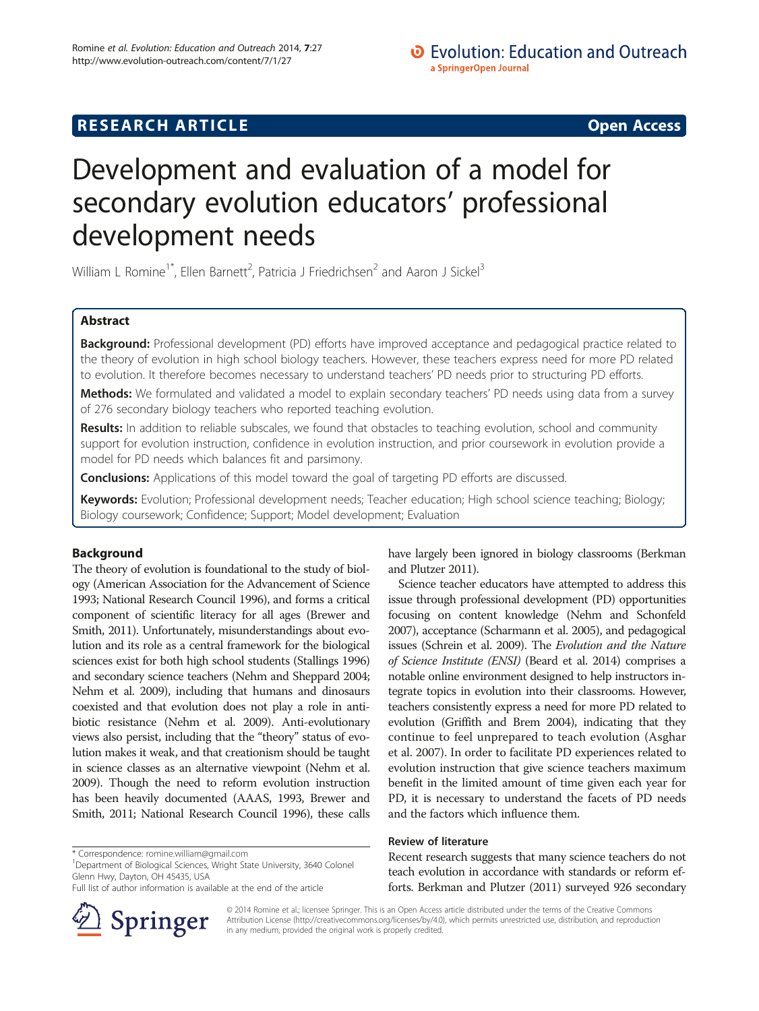# **RESEARCH ARTICLE Example 2014 CONSIDERING CONSIDERING CONSIDERING CONSIDERING CONSIDERING CONSIDERING CONSIDERING CONSIDERING CONSIDERING CONSIDERING CONSIDERING CONSIDERING CONSIDERING CONSIDERING CONSIDERING CONSIDE**

# Development and evaluation of a model for secondary evolution educators' professional development needs

William L Romine<sup>1\*</sup>, Ellen Barnett<sup>2</sup>, Patricia J Friedrichsen<sup>2</sup> and Aaron J Sickel<sup>3</sup>

# Abstract

Background: Professional development (PD) efforts have improved acceptance and pedagogical practice related to the theory of evolution in high school biology teachers. However, these teachers express need for more PD related to evolution. It therefore becomes necessary to understand teachers' PD needs prior to structuring PD efforts.

Methods: We formulated and validated a model to explain secondary teachers' PD needs using data from a survey of 276 secondary biology teachers who reported teaching evolution.

Results: In addition to reliable subscales, we found that obstacles to teaching evolution, school and community support for evolution instruction, confidence in evolution instruction, and prior coursework in evolution provide a model for PD needs which balances fit and parsimony.

**Conclusions:** Applications of this model toward the goal of targeting PD efforts are discussed.

Keywords: Evolution; Professional development needs; Teacher education; High school science teaching; Biology; Biology coursework; Confidence; Support; Model development; Evaluation

# Background

The theory of evolution is foundational to the study of biology (American Association for the Advancement of Science [1993;](#page-9-0) National Research Council [1996\)](#page-9-0), and forms a critical component of scientific literacy for all ages (Brewer and Smith, [2011\)](#page-9-0). Unfortunately, misunderstandings about evolution and its role as a central framework for the biological sciences exist for both high school students (Stallings [1996](#page-9-0)) and secondary science teachers (Nehm and Sheppard [2004](#page-9-0); Nehm et al. [2009\)](#page-9-0), including that humans and dinosaurs coexisted and that evolution does not play a role in antibiotic resistance (Nehm et al. [2009\)](#page-9-0). Anti-evolutionary views also persist, including that the "theory" status of evolution makes it weak, and that creationism should be taught in science classes as an alternative viewpoint (Nehm et al. [2009\)](#page-9-0). Though the need to reform evolution instruction has been heavily documented (AAAS, [1993,](#page-9-0) Brewer and Smith, [2011;](#page-9-0) National Research Council [1996\)](#page-9-0), these calls

Full list of author information is available at the end of the article



have largely been ignored in biology classrooms (Berkman and Plutzer [2011\)](#page-9-0).

Science teacher educators have attempted to address this issue through professional development (PD) opportunities focusing on content knowledge (Nehm and Schonfeld [2007\)](#page-9-0), acceptance (Scharmann et al. [2005\)](#page-9-0), and pedagogical issues (Schrein et al. [2009\)](#page-9-0). The Evolution and the Nature of Science Institute (ENSI) (Beard et al. [2014](#page-9-0)) comprises a notable online environment designed to help instructors integrate topics in evolution into their classrooms. However, teachers consistently express a need for more PD related to evolution (Griffith and Brem [2004\)](#page-9-0), indicating that they continue to feel unprepared to teach evolution (Asghar et al. [2007\)](#page-9-0). In order to facilitate PD experiences related to evolution instruction that give science teachers maximum benefit in the limited amount of time given each year for PD, it is necessary to understand the facets of PD needs and the factors which influence them.

#### Review of literature

Recent research suggests that many science teachers do not teach evolution in accordance with standards or reform efforts. Berkman and Plutzer ([2011](#page-9-0)) surveyed 926 secondary

© 2014 Romine et al.; licensee Springer. This is an Open Access article distributed under the terms of the Creative Commons Attribution License [\(http://creativecommons.org/licenses/by/4.0\)](http://creativecommons.org/licenses/by/4.0), which permits unrestricted use, distribution, and reproduction in any medium, provided the original work is properly credited.

<sup>\*</sup> Correspondence: [romine.william@gmail.com](mailto:romine.william@gmail.com) <sup>1</sup>

<sup>&</sup>lt;sup>1</sup>Department of Biological Sciences, Wright State University, 3640 Colonel Glenn Hwy, Dayton, OH 45435, USA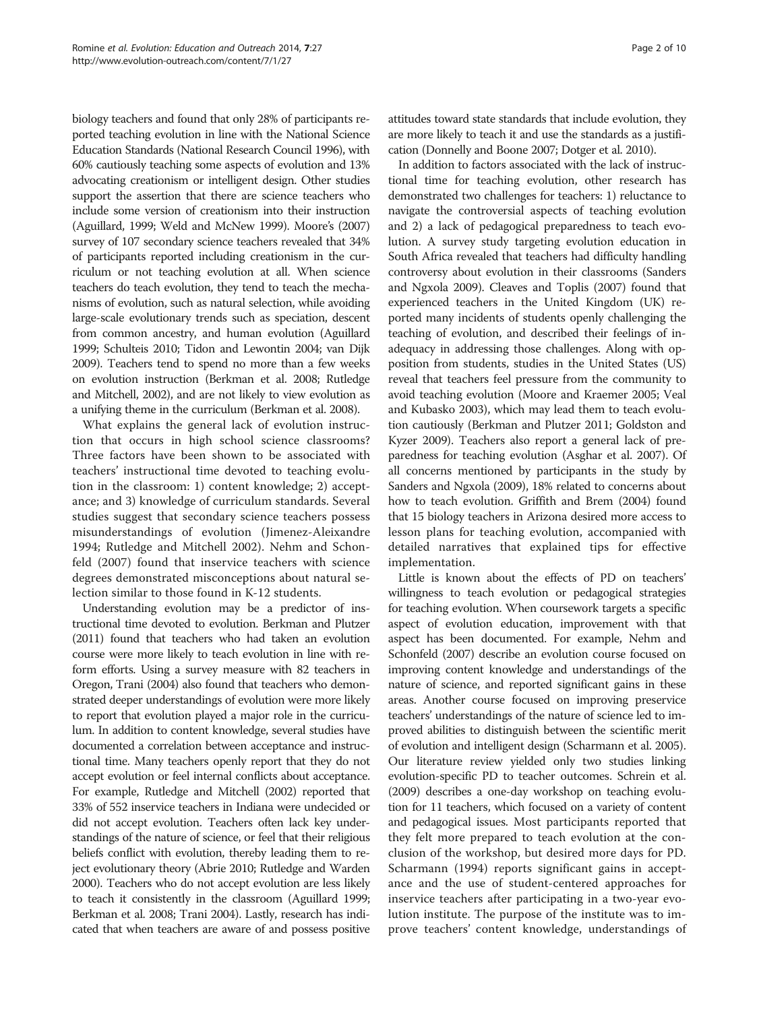biology teachers and found that only 28% of participants reported teaching evolution in line with the National Science Education Standards (National Research Council [1996\)](#page-9-0), with 60% cautiously teaching some aspects of evolution and 13% advocating creationism or intelligent design. Other studies support the assertion that there are science teachers who include some version of creationism into their instruction (Aguillard, [1999](#page-8-0); Weld and McNew [1999](#page-9-0)). Moore's [\(2007](#page-9-0)) survey of 107 secondary science teachers revealed that 34% of participants reported including creationism in the curriculum or not teaching evolution at all. When science teachers do teach evolution, they tend to teach the mechanisms of evolution, such as natural selection, while avoiding large-scale evolutionary trends such as speciation, descent from common ancestry, and human evolution (Aguillard [1999;](#page-8-0) Schulteis [2010](#page-9-0); Tidon and Lewontin [2004;](#page-9-0) van Dijk [2009\)](#page-9-0). Teachers tend to spend no more than a few weeks on evolution instruction (Berkman et al. [2008](#page-9-0); Rutledge and Mitchell, [2002\)](#page-9-0), and are not likely to view evolution as a unifying theme in the curriculum (Berkman et al. [2008\)](#page-9-0).

What explains the general lack of evolution instruction that occurs in high school science classrooms? Three factors have been shown to be associated with teachers' instructional time devoted to teaching evolution in the classroom: 1) content knowledge; 2) acceptance; and 3) knowledge of curriculum standards. Several studies suggest that secondary science teachers possess misunderstandings of evolution (Jimenez-Aleixandre [1994;](#page-9-0) Rutledge and Mitchell [2002](#page-9-0)). Nehm and Schonfeld ([2007\)](#page-9-0) found that inservice teachers with science degrees demonstrated misconceptions about natural selection similar to those found in K-12 students.

Understanding evolution may be a predictor of instructional time devoted to evolution. Berkman and Plutzer ([2011\)](#page-9-0) found that teachers who had taken an evolution course were more likely to teach evolution in line with reform efforts. Using a survey measure with 82 teachers in Oregon, Trani [\(2004](#page-9-0)) also found that teachers who demonstrated deeper understandings of evolution were more likely to report that evolution played a major role in the curriculum. In addition to content knowledge, several studies have documented a correlation between acceptance and instructional time. Many teachers openly report that they do not accept evolution or feel internal conflicts about acceptance. For example, Rutledge and Mitchell [\(2002\)](#page-9-0) reported that 33% of 552 inservice teachers in Indiana were undecided or did not accept evolution. Teachers often lack key understandings of the nature of science, or feel that their religious beliefs conflict with evolution, thereby leading them to reject evolutionary theory (Abrie [2010](#page-8-0); Rutledge and Warden [2000\)](#page-9-0). Teachers who do not accept evolution are less likely to teach it consistently in the classroom (Aguillard [1999](#page-8-0); Berkman et al. [2008;](#page-9-0) Trani [2004](#page-9-0)). Lastly, research has indicated that when teachers are aware of and possess positive

attitudes toward state standards that include evolution, they are more likely to teach it and use the standards as a justification (Donnelly and Boone [2007;](#page-9-0) Dotger et al. [2010](#page-9-0)).

In addition to factors associated with the lack of instructional time for teaching evolution, other research has demonstrated two challenges for teachers: 1) reluctance to navigate the controversial aspects of teaching evolution and 2) a lack of pedagogical preparedness to teach evolution. A survey study targeting evolution education in South Africa revealed that teachers had difficulty handling controversy about evolution in their classrooms (Sanders and Ngxola [2009](#page-9-0)). Cleaves and Toplis [\(2007](#page-9-0)) found that experienced teachers in the United Kingdom (UK) reported many incidents of students openly challenging the teaching of evolution, and described their feelings of inadequacy in addressing those challenges. Along with opposition from students, studies in the United States (US) reveal that teachers feel pressure from the community to avoid teaching evolution (Moore and Kraemer [2005](#page-9-0); Veal and Kubasko [2003\)](#page-9-0), which may lead them to teach evolution cautiously (Berkman and Plutzer [2011](#page-9-0); Goldston and Kyzer [2009\)](#page-9-0). Teachers also report a general lack of preparedness for teaching evolution (Asghar et al. [2007](#page-9-0)). Of all concerns mentioned by participants in the study by Sanders and Ngxola [\(2009\)](#page-9-0), 18% related to concerns about how to teach evolution. Griffith and Brem ([2004\)](#page-9-0) found that 15 biology teachers in Arizona desired more access to lesson plans for teaching evolution, accompanied with detailed narratives that explained tips for effective implementation.

Little is known about the effects of PD on teachers' willingness to teach evolution or pedagogical strategies for teaching evolution. When coursework targets a specific aspect of evolution education, improvement with that aspect has been documented. For example, Nehm and Schonfeld [\(2007](#page-9-0)) describe an evolution course focused on improving content knowledge and understandings of the nature of science, and reported significant gains in these areas. Another course focused on improving preservice teachers' understandings of the nature of science led to improved abilities to distinguish between the scientific merit of evolution and intelligent design (Scharmann et al. [2005](#page-9-0)). Our literature review yielded only two studies linking evolution-specific PD to teacher outcomes. Schrein et al. ([2009\)](#page-9-0) describes a one-day workshop on teaching evolution for 11 teachers, which focused on a variety of content and pedagogical issues. Most participants reported that they felt more prepared to teach evolution at the conclusion of the workshop, but desired more days for PD. Scharmann ([1994\)](#page-9-0) reports significant gains in acceptance and the use of student-centered approaches for inservice teachers after participating in a two-year evolution institute. The purpose of the institute was to improve teachers' content knowledge, understandings of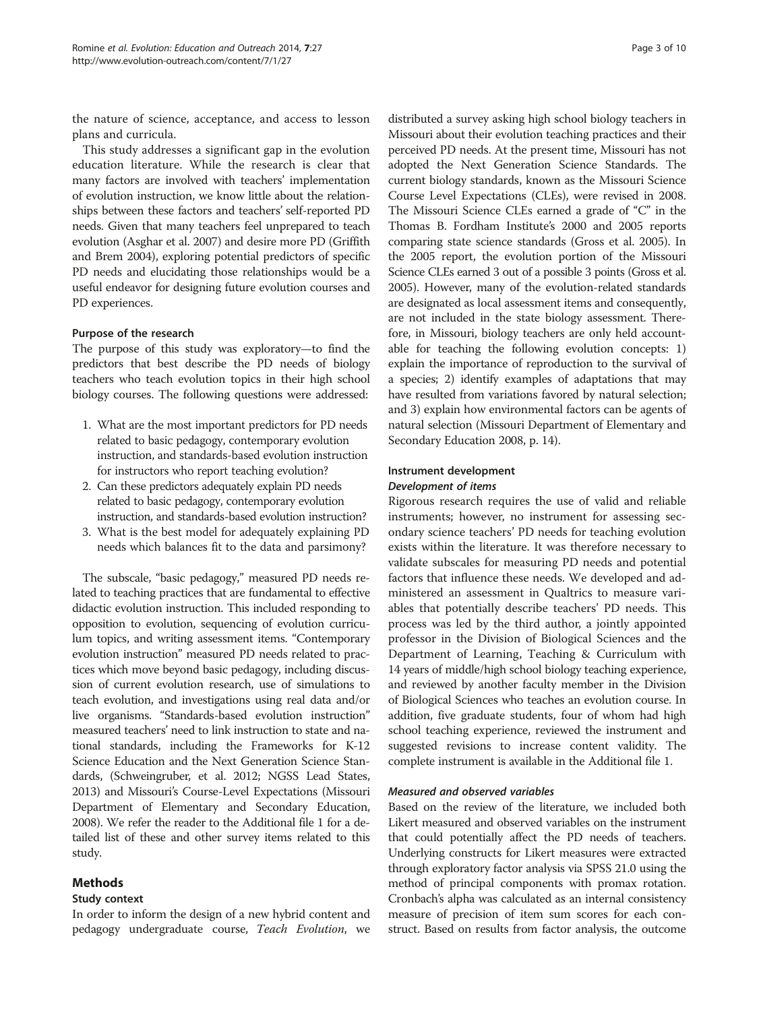the nature of science, acceptance, and access to lesson plans and curricula.

This study addresses a significant gap in the evolution education literature. While the research is clear that many factors are involved with teachers' implementation of evolution instruction, we know little about the relationships between these factors and teachers' self-reported PD needs. Given that many teachers feel unprepared to teach evolution (Asghar et al. [2007\)](#page-9-0) and desire more PD (Griffith and Brem [2004\)](#page-9-0), exploring potential predictors of specific PD needs and elucidating those relationships would be a useful endeavor for designing future evolution courses and PD experiences.

#### Purpose of the research

The purpose of this study was exploratory—to find the predictors that best describe the PD needs of biology teachers who teach evolution topics in their high school biology courses. The following questions were addressed:

- 1. What are the most important predictors for PD needs related to basic pedagogy, contemporary evolution instruction, and standards-based evolution instruction for instructors who report teaching evolution?
- 2. Can these predictors adequately explain PD needs related to basic pedagogy, contemporary evolution instruction, and standards-based evolution instruction?
- 3. What is the best model for adequately explaining PD needs which balances fit to the data and parsimony?

The subscale, "basic pedagogy," measured PD needs related to teaching practices that are fundamental to effective didactic evolution instruction. This included responding to opposition to evolution, sequencing of evolution curriculum topics, and writing assessment items. "Contemporary evolution instruction" measured PD needs related to practices which move beyond basic pedagogy, including discussion of current evolution research, use of simulations to teach evolution, and investigations using real data and/or live organisms. "Standards-based evolution instruction" measured teachers' need to link instruction to state and national standards, including the Frameworks for K-12 Science Education and the Next Generation Science Standards, (Schweingruber, et al. [2012](#page-9-0); NGSS Lead States, [2013\)](#page-9-0) and Missouri's Course-Level Expectations (Missouri Department of Elementary and Secondary Education, [2008\)](#page-9-0). We refer the reader to the Additional file [1](#page-8-0) for a detailed list of these and other survey items related to this study.

### Methods

#### Study context

In order to inform the design of a new hybrid content and pedagogy undergraduate course, Teach Evolution, we

distributed a survey asking high school biology teachers in Missouri about their evolution teaching practices and their perceived PD needs. At the present time, Missouri has not adopted the Next Generation Science Standards. The current biology standards, known as the Missouri Science Course Level Expectations (CLEs), were revised in 2008. The Missouri Science CLEs earned a grade of "C" in the Thomas B. Fordham Institute's 2000 and 2005 reports comparing state science standards (Gross et al. [2005](#page-9-0)). In the 2005 report, the evolution portion of the Missouri Science CLEs earned 3 out of a possible 3 points (Gross et al. [2005](#page-9-0)). However, many of the evolution-related standards are designated as local assessment items and consequently, are not included in the state biology assessment. Therefore, in Missouri, biology teachers are only held accountable for teaching the following evolution concepts: 1) explain the importance of reproduction to the survival of a species; 2) identify examples of adaptations that may have resulted from variations favored by natural selection; and 3) explain how environmental factors can be agents of natural selection (Missouri Department of Elementary and Secondary Education [2008,](#page-9-0) p. 14).

### Instrument development Development of items

Rigorous research requires the use of valid and reliable instruments; however, no instrument for assessing secondary science teachers' PD needs for teaching evolution exists within the literature. It was therefore necessary to validate subscales for measuring PD needs and potential factors that influence these needs. We developed and administered an assessment in Qualtrics to measure variables that potentially describe teachers' PD needs. This process was led by the third author, a jointly appointed professor in the Division of Biological Sciences and the Department of Learning, Teaching & Curriculum with 14 years of middle/high school biology teaching experience, and reviewed by another faculty member in the Division of Biological Sciences who teaches an evolution course. In addition, five graduate students, four of whom had high school teaching experience, reviewed the instrument and suggested revisions to increase content validity. The complete instrument is available in the Additional file [1](#page-8-0).

#### Measured and observed variables

Based on the review of the literature, we included both Likert measured and observed variables on the instrument that could potentially affect the PD needs of teachers. Underlying constructs for Likert measures were extracted through exploratory factor analysis via SPSS 21.0 using the method of principal components with promax rotation. Cronbach's alpha was calculated as an internal consistency measure of precision of item sum scores for each construct. Based on results from factor analysis, the outcome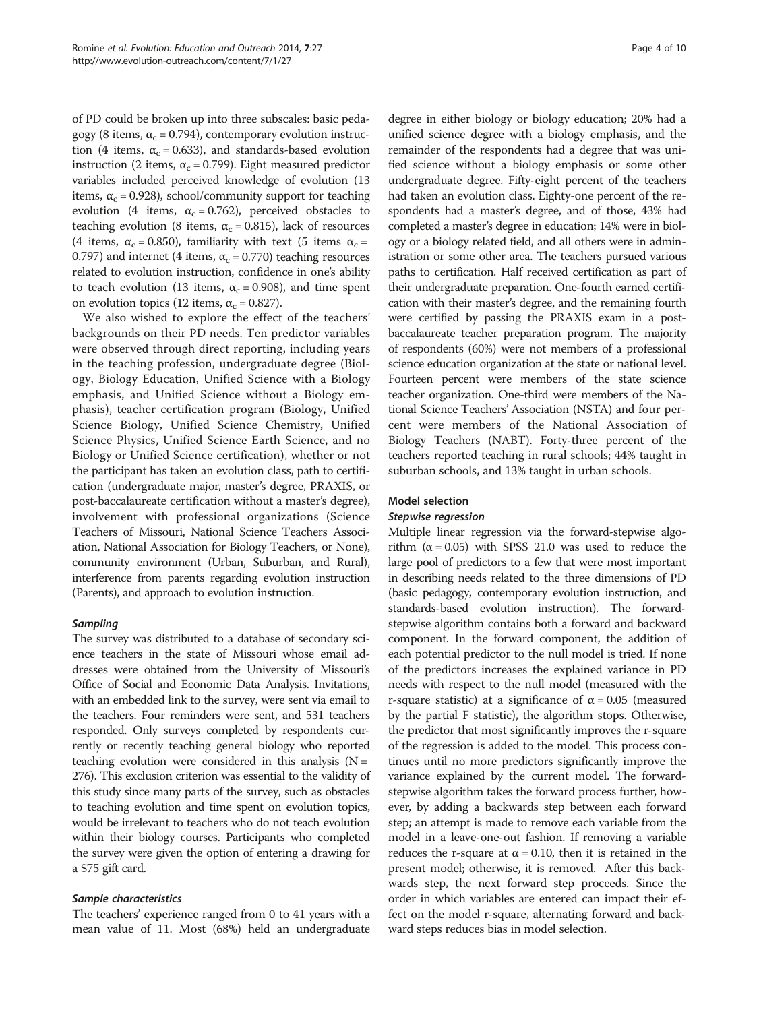of PD could be broken up into three subscales: basic pedagogy (8 items,  $\alpha_c = 0.794$ ), contemporary evolution instruction (4 items,  $\alpha_c = 0.633$ ), and standards-based evolution instruction (2 items,  $\alpha_c$  = 0.799). Eight measured predictor variables included perceived knowledge of evolution (13 items,  $\alpha_c = 0.928$ ), school/community support for teaching evolution (4 items,  $\alpha_c = 0.762$ ), perceived obstacles to teaching evolution (8 items,  $\alpha_c = 0.815$ ), lack of resources (4 items,  $\alpha_c = 0.850$ ), familiarity with text (5 items  $\alpha_c =$ 0.797) and internet (4 items,  $\alpha_c$  = 0.770) teaching resources related to evolution instruction, confidence in one's ability to teach evolution (13 items,  $\alpha_c = 0.908$ ), and time spent on evolution topics (12 items,  $\alpha_c = 0.827$ ).

We also wished to explore the effect of the teachers' backgrounds on their PD needs. Ten predictor variables were observed through direct reporting, including years in the teaching profession, undergraduate degree (Biology, Biology Education, Unified Science with a Biology emphasis, and Unified Science without a Biology emphasis), teacher certification program (Biology, Unified Science Biology, Unified Science Chemistry, Unified Science Physics, Unified Science Earth Science, and no Biology or Unified Science certification), whether or not the participant has taken an evolution class, path to certification (undergraduate major, master's degree, PRAXIS, or post-baccalaureate certification without a master's degree), involvement with professional organizations (Science Teachers of Missouri, National Science Teachers Association, National Association for Biology Teachers, or None), community environment (Urban, Suburban, and Rural), interference from parents regarding evolution instruction (Parents), and approach to evolution instruction.

### **Sampling**

The survey was distributed to a database of secondary science teachers in the state of Missouri whose email addresses were obtained from the University of Missouri's Office of Social and Economic Data Analysis. Invitations, with an embedded link to the survey, were sent via email to the teachers. Four reminders were sent, and 531 teachers responded. Only surveys completed by respondents currently or recently teaching general biology who reported teaching evolution were considered in this analysis  $(N =$ 276). This exclusion criterion was essential to the validity of this study since many parts of the survey, such as obstacles to teaching evolution and time spent on evolution topics, would be irrelevant to teachers who do not teach evolution within their biology courses. Participants who completed the survey were given the option of entering a drawing for a \$75 gift card.

### Sample characteristics

The teachers' experience ranged from 0 to 41 years with a mean value of 11. Most (68%) held an undergraduate

degree in either biology or biology education; 20% had a unified science degree with a biology emphasis, and the remainder of the respondents had a degree that was unified science without a biology emphasis or some other undergraduate degree. Fifty-eight percent of the teachers had taken an evolution class. Eighty-one percent of the respondents had a master's degree, and of those, 43% had completed a master's degree in education; 14% were in biology or a biology related field, and all others were in administration or some other area. The teachers pursued various paths to certification. Half received certification as part of their undergraduate preparation. One-fourth earned certification with their master's degree, and the remaining fourth were certified by passing the PRAXIS exam in a postbaccalaureate teacher preparation program. The majority of respondents (60%) were not members of a professional science education organization at the state or national level. Fourteen percent were members of the state science teacher organization. One-third were members of the National Science Teachers' Association (NSTA) and four percent were members of the National Association of Biology Teachers (NABT). Forty-three percent of the teachers reported teaching in rural schools; 44% taught in suburban schools, and 13% taught in urban schools.

#### Model selection

#### Stepwise regression

Multiple linear regression via the forward-stepwise algorithm ( $\alpha$  = 0.05) with SPSS 21.0 was used to reduce the large pool of predictors to a few that were most important in describing needs related to the three dimensions of PD (basic pedagogy, contemporary evolution instruction, and standards-based evolution instruction). The forwardstepwise algorithm contains both a forward and backward component. In the forward component, the addition of each potential predictor to the null model is tried. If none of the predictors increases the explained variance in PD needs with respect to the null model (measured with the r-square statistic) at a significance of  $\alpha = 0.05$  (measured by the partial F statistic), the algorithm stops. Otherwise, the predictor that most significantly improves the r-square of the regression is added to the model. This process continues until no more predictors significantly improve the variance explained by the current model. The forwardstepwise algorithm takes the forward process further, however, by adding a backwards step between each forward step; an attempt is made to remove each variable from the model in a leave-one-out fashion. If removing a variable reduces the r-square at  $\alpha$  = 0.10, then it is retained in the present model; otherwise, it is removed. After this backwards step, the next forward step proceeds. Since the order in which variables are entered can impact their effect on the model r-square, alternating forward and backward steps reduces bias in model selection.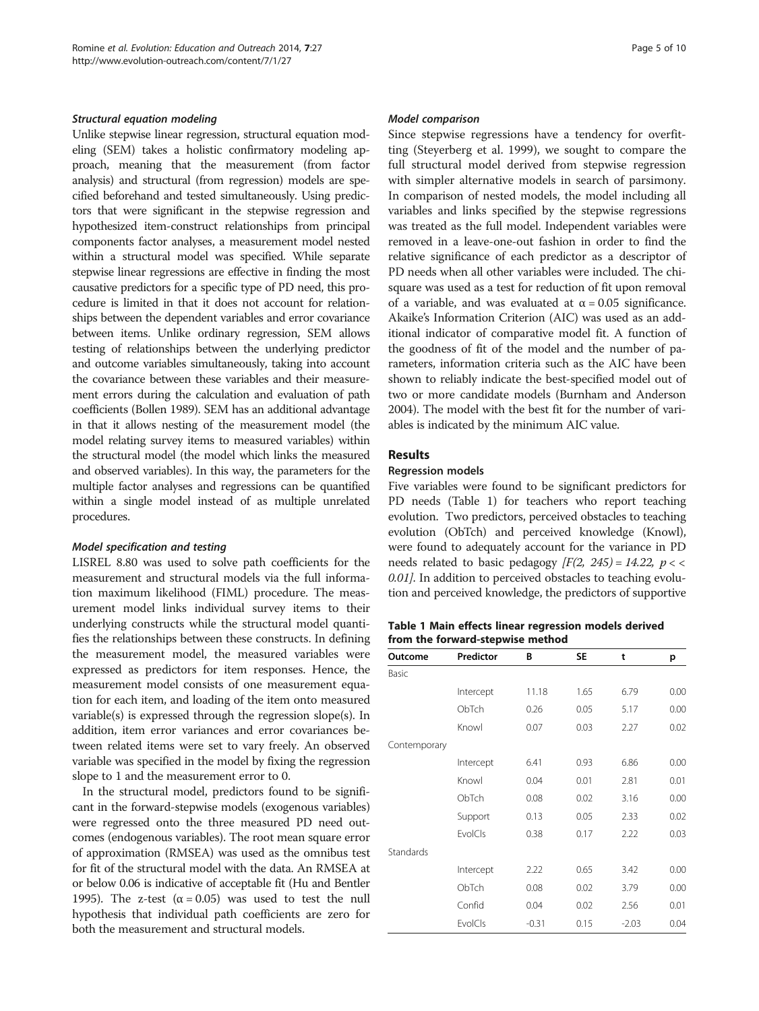#### Structural equation modeling

Unlike stepwise linear regression, structural equation modeling (SEM) takes a holistic confirmatory modeling approach, meaning that the measurement (from factor analysis) and structural (from regression) models are specified beforehand and tested simultaneously. Using predictors that were significant in the stepwise regression and hypothesized item-construct relationships from principal components factor analyses, a measurement model nested within a structural model was specified. While separate stepwise linear regressions are effective in finding the most causative predictors for a specific type of PD need, this procedure is limited in that it does not account for relationships between the dependent variables and error covariance between items. Unlike ordinary regression, SEM allows testing of relationships between the underlying predictor and outcome variables simultaneously, taking into account the covariance between these variables and their measurement errors during the calculation and evaluation of path coefficients (Bollen [1989](#page-9-0)). SEM has an additional advantage in that it allows nesting of the measurement model (the model relating survey items to measured variables) within the structural model (the model which links the measured and observed variables). In this way, the parameters for the multiple factor analyses and regressions can be quantified within a single model instead of as multiple unrelated procedures.

#### Model specification and testing

LISREL 8.80 was used to solve path coefficients for the measurement and structural models via the full information maximum likelihood (FIML) procedure. The measurement model links individual survey items to their underlying constructs while the structural model quantifies the relationships between these constructs. In defining the measurement model, the measured variables were expressed as predictors for item responses. Hence, the measurement model consists of one measurement equation for each item, and loading of the item onto measured variable(s) is expressed through the regression slope(s). In addition, item error variances and error covariances between related items were set to vary freely. An observed variable was specified in the model by fixing the regression slope to 1 and the measurement error to 0.

In the structural model, predictors found to be significant in the forward-stepwise models (exogenous variables) were regressed onto the three measured PD need outcomes (endogenous variables). The root mean square error of approximation (RMSEA) was used as the omnibus test for fit of the structural model with the data. An RMSEA at or below 0.06 is indicative of acceptable fit (Hu and Bentler [1995\)](#page-9-0). The z-test  $(\alpha = 0.05)$  was used to test the null hypothesis that individual path coefficients are zero for both the measurement and structural models.

#### Model comparison

Since stepwise regressions have a tendency for overfitting (Steyerberg et al. [1999\)](#page-9-0), we sought to compare the full structural model derived from stepwise regression with simpler alternative models in search of parsimony. In comparison of nested models, the model including all variables and links specified by the stepwise regressions was treated as the full model. Independent variables were removed in a leave-one-out fashion in order to find the relative significance of each predictor as a descriptor of PD needs when all other variables were included. The chisquare was used as a test for reduction of fit upon removal of a variable, and was evaluated at  $\alpha = 0.05$  significance. Akaike's Information Criterion (AIC) was used as an additional indicator of comparative model fit. A function of the goodness of fit of the model and the number of parameters, information criteria such as the AIC have been shown to reliably indicate the best-specified model out of two or more candidate models (Burnham and Anderson [2004](#page-9-0)). The model with the best fit for the number of variables is indicated by the minimum AIC value.

#### Results

#### Regression models

Five variables were found to be significant predictors for PD needs (Table 1) for teachers who report teaching evolution. Two predictors, perceived obstacles to teaching evolution (ObTch) and perceived knowledge (Knowl), were found to adequately account for the variance in PD needs related to basic pedagogy  $\sqrt{F(2, 245)} = 14.22$ ,  $p \ll 14.22$ 0.01]. In addition to perceived obstacles to teaching evolution and perceived knowledge, the predictors of supportive

Table 1 Main effects linear regression models derived from the forward-stepwise method

| Outcome      | Predictor      | В       | <b>SE</b> | t       | p    |
|--------------|----------------|---------|-----------|---------|------|
| Basic        |                |         |           |         |      |
|              | Intercept      | 11.18   | 1.65      | 6.79    | 0.00 |
|              | ObTch          | 0.26    | 0.05      | 5.17    | 0.00 |
|              | Knowl          | 0.07    | 0.03      | 2.27    | 0.02 |
| Contemporary |                |         |           |         |      |
|              | Intercept      | 6.41    | 0.93      | 6.86    | 0.00 |
|              | Knowl          | 0.04    | 0.01      | 2.81    | 0.01 |
|              | ObTch          | 0.08    | 0.02      | 3.16    | 0.00 |
|              | Support        | 0.13    | 0.05      | 2.33    | 0.02 |
|              | <b>EvolCls</b> | 0.38    | 0.17      | 2.22    | 0.03 |
| Standards    |                |         |           |         |      |
|              | Intercept      | 2.22    | 0.65      | 3.42    | 0.00 |
|              | ObTch          | 0.08    | 0.02      | 3.79    | 0.00 |
|              | Confid         | 0.04    | 0.02      | 2.56    | 0.01 |
|              | <b>EvolCls</b> | $-0.31$ | 0.15      | $-2.03$ | 0.04 |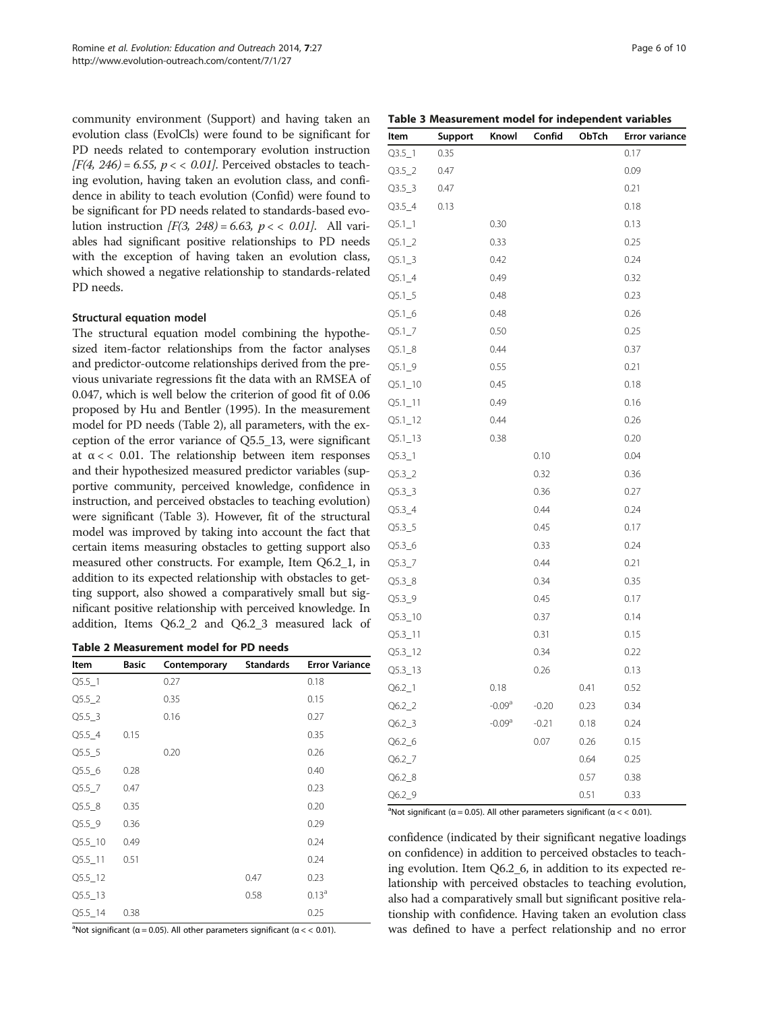<span id="page-5-0"></span>community environment (Support) and having taken an evolution class (EvolCls) were found to be significant for PD needs related to contemporary evolution instruction  $[F(4, 246) = 6.55, p < 0.01]$ . Perceived obstacles to teaching evolution, having taken an evolution class, and confidence in ability to teach evolution (Confid) were found to be significant for PD needs related to standards-based evolution instruction  $[F(3, 248) = 6.63, p < 0.01]$ . All variables had significant positive relationships to PD needs with the exception of having taken an evolution class, which showed a negative relationship to standards-related PD needs.

#### Structural equation model

The structural equation model combining the hypothesized item-factor relationships from the factor analyses and predictor-outcome relationships derived from the previous univariate regressions fit the data with an RMSEA of 0.047, which is well below the criterion of good fit of 0.06 proposed by Hu and Bentler [\(1995](#page-9-0)). In the measurement model for PD needs (Table 2), all parameters, with the exception of the error variance of Q5.5\_13, were significant at  $\alpha$  < 0.01. The relationship between item responses and their hypothesized measured predictor variables (supportive community, perceived knowledge, confidence in instruction, and perceived obstacles to teaching evolution) were significant (Table 3). However, fit of the structural model was improved by taking into account the fact that certain items measuring obstacles to getting support also measured other constructs. For example, Item Q6.2\_1, in addition to its expected relationship with obstacles to getting support, also showed a comparatively small but significant positive relationship with perceived knowledge. In addition, Items Q6.2\_2 and Q6.2\_3 measured lack of

|  | Table 2 Measurement model for PD needs |  |  |
|--|----------------------------------------|--|--|
|--|----------------------------------------|--|--|

| Item        | <b>Basic</b> | Contemporary | <b>Standards</b> | <b>Error Variance</b> |
|-------------|--------------|--------------|------------------|-----------------------|
| $Q5.5-1$    |              | 0.27         |                  | 0.18                  |
| Q5.52       |              | 0.35         |                  | 0.15                  |
| $Q5.5 - 3$  |              | 0.16         |                  | 0.27                  |
| $Q5.5 - 4$  | 0.15         |              |                  | 0.35                  |
| $Q5.5 - 5$  |              | 0.20         |                  | 0.26                  |
| Q5.56       | 0.28         |              |                  | 0.40                  |
| Q5.57       | 0.47         |              |                  | 0.23                  |
| $Q5.5 - 8$  | 0.35         |              |                  | 0.20                  |
| $Q5.5 - 9$  | 0.36         |              |                  | 0.29                  |
| $Q5.5 - 10$ | 0.49         |              |                  | 0.24                  |
| $Q5.5 - 11$ | 0.51         |              |                  | 0.24                  |
| $Q5.5 - 12$ |              |              | 0.47             | 0.23                  |
| $Q5.5 - 13$ |              |              | 0.58             | 0.13 <sup>a</sup>     |
| $Q5.5 - 14$ | 0.38         |              |                  | 0.25                  |

<sup>a</sup>Not significant (α = 0.05). All other parameters significant (α < < 0.01).

|  | Table 3 Measurement model for independent variables |  |  |  |
|--|-----------------------------------------------------|--|--|--|
|--|-----------------------------------------------------|--|--|--|

| Item        | <b>Support</b> | Knowl    | Confid  | ObTch | Error variance |
|-------------|----------------|----------|---------|-------|----------------|
| $Q3.5-1$    | 0.35           |          |         |       | 0.17           |
| Q3.52       | 0.47           |          |         |       | 0.09           |
| $Q3.5-3$    | 0.47           |          |         |       | 0.21           |
| $Q3.5 - 4$  | 0.13           |          |         |       | 0.18           |
| $Q5.1 - 1$  |                | 0.30     |         |       | 0.13           |
| Q5.12       |                | 0.33     |         |       | 0.25           |
| $Q5.1 - 3$  |                | 0.42     |         |       | 0.24           |
| $Q5.1 - 4$  |                | 0.49     |         |       | 0.32           |
| $Q5.1 - 5$  |                | 0.48     |         |       | 0.23           |
| $Q5.1\_6$   |                | 0.48     |         |       | 0.26           |
| Q5.17       |                | 0.50     |         |       | 0.25           |
| $Q5.1\_8$   |                | 0.44     |         |       | 0.37           |
| $Q5.1 - 9$  |                | 0.55     |         |       | 0.21           |
| $Q5.1 - 10$ |                | 0.45     |         |       | 0.18           |
| $Q5.1 - 11$ |                | 0.49     |         |       | 0.16           |
| $Q5.1 - 12$ |                | 0.44     |         |       | 0.26           |
| $Q5.1 - 13$ |                | 0.38     |         |       | 0.20           |
| $Q5.3-1$    |                |          | 0.10    |       | 0.04           |
| Q5.32       |                |          | 0.32    |       | 0.36           |
| $Q5.3 - 3$  |                |          | 0.36    |       | 0.27           |
| $Q5.3 - 4$  |                |          | 0.44    |       | 0.24           |
| $Q5.3 - 5$  |                |          | 0.45    |       | 0.17           |
| Q5.36       |                |          | 0.33    |       | 0.24           |
| Q5.37       |                |          | 0.44    |       | 0.21           |
| Q5.38       |                |          | 0.34    |       | 0.35           |
| $Q5.3 - 9$  |                |          | 0.45    |       | 0.17           |
| $Q5.3 - 10$ |                |          | 0.37    |       | 0.14           |
| $Q5.3 - 11$ |                |          | 0.31    |       | 0.15           |
| $Q5.3 - 12$ |                |          | 0.34    |       | 0.22           |
| $Q5.3 - 13$ |                |          | 0.26    |       | 0.13           |
| Q6.21       |                | 0.18     |         | 0.41  | 0.52           |
| Q6.22       |                | $-0.09a$ | $-0.20$ | 0.23  | 0.34           |
| $Q6.2 - 3$  |                | $-0.09a$ | $-0.21$ | 0.18  | 0.24           |
| $Q6.2\_6$   |                |          | 0.07    | 0.26  | 0.15           |
| Q6.27       |                |          |         | 0.64  | 0.25           |
| Q6.28       |                |          |         | 0.57  | 0.38           |
| Q6.29       |                |          |         | 0.51  | 0.33           |

<sup>a</sup>Not significant (α = 0.05). All other parameters significant (α < < 0.01).

confidence (indicated by their significant negative loadings on confidence) in addition to perceived obstacles to teaching evolution. Item Q6.2\_6, in addition to its expected relationship with perceived obstacles to teaching evolution, also had a comparatively small but significant positive relationship with confidence. Having taken an evolution class was defined to have a perfect relationship and no error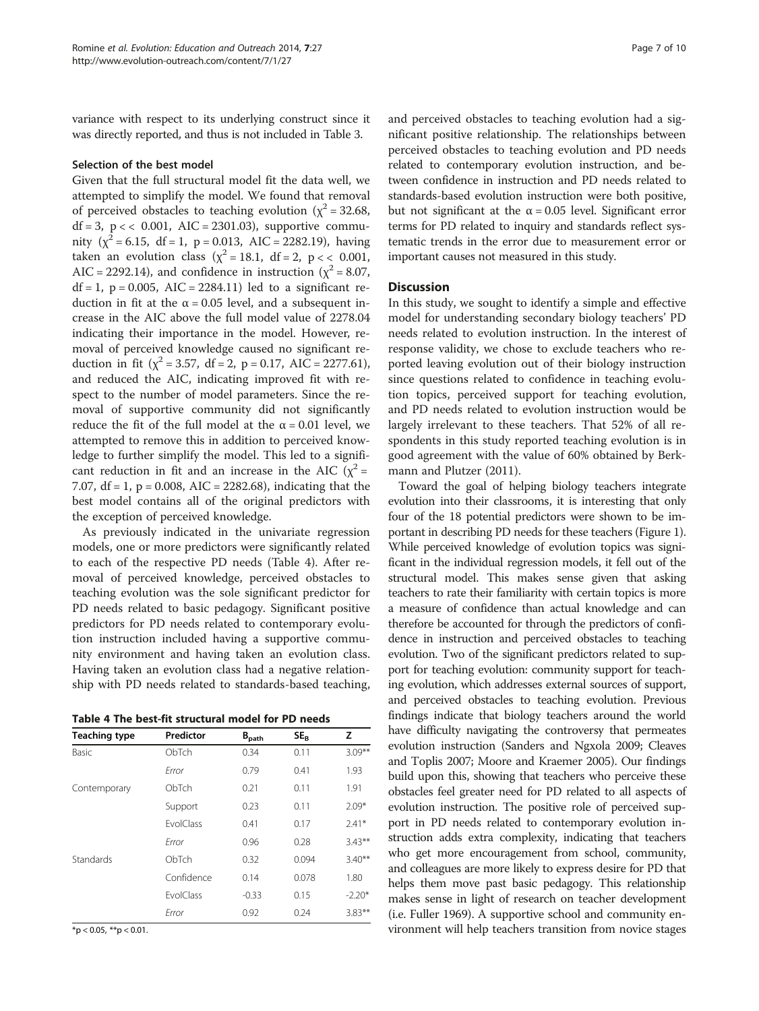variance with respect to its underlying construct since it was directly reported, and thus is not included in Table [3.](#page-5-0)

#### Selection of the best model

Given that the full structural model fit the data well, we attempted to simplify the model. We found that removal of perceived obstacles to teaching evolution ( $\chi^2$  = 32.68, df = 3,  $p \ll 0.001$ , AIC = 2301.03), supportive community  $(x^2 = 6.15, df = 1, p = 0.013, AIC = 2282.19)$ , having taken an evolution class ( $\chi^2$  = 18.1, df = 2, p < < 0.001, AIC = 2292.14), and confidence in instruction ( $\chi^2$  = 8.07,  $df = 1$ ,  $p = 0.005$ ,  $AIC = 2284.11$ ) led to a significant reduction in fit at the  $\alpha$  = 0.05 level, and a subsequent increase in the AIC above the full model value of 2278.04 indicating their importance in the model. However, removal of perceived knowledge caused no significant reduction in fit ( $\chi^2$  = 3.57, df = 2, p = 0.17, AIC = 2277.61), and reduced the AIC, indicating improved fit with respect to the number of model parameters. Since the removal of supportive community did not significantly reduce the fit of the full model at the  $\alpha = 0.01$  level, we attempted to remove this in addition to perceived knowledge to further simplify the model. This led to a significant reduction in fit and an increase in the AIC ( $\chi^2$  = 7.07,  $df = 1$ ,  $p = 0.008$ ,  $AIC = 2282.68$ ), indicating that the best model contains all of the original predictors with the exception of perceived knowledge.

As previously indicated in the univariate regression models, one or more predictors were significantly related to each of the respective PD needs (Table 4). After removal of perceived knowledge, perceived obstacles to teaching evolution was the sole significant predictor for PD needs related to basic pedagogy. Significant positive predictors for PD needs related to contemporary evolution instruction included having a supportive community environment and having taken an evolution class. Having taken an evolution class had a negative relationship with PD needs related to standards-based teaching,

| Table 4 The best-fit structural model for PD needs |  |
|----------------------------------------------------|--|
|----------------------------------------------------|--|

| <b>Teaching type</b> | Predictor        | $\mathsf{B}_{\mathsf{path}}$ | $SE_R$ | z         |
|----------------------|------------------|------------------------------|--------|-----------|
| <b>Basic</b>         | ObTch            | 0.34                         | 0.11   | $3.09***$ |
|                      | Frror            | 0.79                         | 0.41   | 1.93      |
| Contemporary         | ObTch            | 0.21                         | 0.11   | 1.91      |
|                      | Support          | 0.23                         | 0.11   | $2.09*$   |
|                      | <b>FvolClass</b> | 0.41                         | 0.17   | $2.41*$   |
|                      | Frror            | 0.96                         | 0.28   | $3.43***$ |
| Standards            | ObTch            | 0.32                         | 0.094  | $3.40***$ |
|                      | Confidence       | 0.14                         | 0.078  | 1.80      |
|                      | <b>FvolClass</b> | $-0.33$                      | 0.15   | $-2.20*$  |
|                      | Error            | 0.92                         | 0.24   | $3.83***$ |

 $*$ p < 0.05,  $**$ p < 0.01.

and perceived obstacles to teaching evolution had a significant positive relationship. The relationships between perceived obstacles to teaching evolution and PD needs related to contemporary evolution instruction, and between confidence in instruction and PD needs related to standards-based evolution instruction were both positive, but not significant at the α = 0.05 level. Significant error terms for PD related to inquiry and standards reflect systematic trends in the error due to measurement error or important causes not measured in this study.

#### **Discussion**

In this study, we sought to identify a simple and effective model for understanding secondary biology teachers' PD needs related to evolution instruction. In the interest of response validity, we chose to exclude teachers who reported leaving evolution out of their biology instruction since questions related to confidence in teaching evolution topics, perceived support for teaching evolution, and PD needs related to evolution instruction would be largely irrelevant to these teachers. That 52% of all respondents in this study reported teaching evolution is in good agreement with the value of 60% obtained by Berkmann and Plutzer [\(2011\)](#page-9-0).

Toward the goal of helping biology teachers integrate evolution into their classrooms, it is interesting that only four of the 18 potential predictors were shown to be important in describing PD needs for these teachers (Figure [1](#page-7-0)). While perceived knowledge of evolution topics was significant in the individual regression models, it fell out of the structural model. This makes sense given that asking teachers to rate their familiarity with certain topics is more a measure of confidence than actual knowledge and can therefore be accounted for through the predictors of confidence in instruction and perceived obstacles to teaching evolution. Two of the significant predictors related to support for teaching evolution: community support for teaching evolution, which addresses external sources of support, and perceived obstacles to teaching evolution. Previous findings indicate that biology teachers around the world have difficulty navigating the controversy that permeates evolution instruction (Sanders and Ngxola [2009](#page-9-0); Cleaves and Toplis [2007;](#page-9-0) Moore and Kraemer [2005](#page-9-0)). Our findings build upon this, showing that teachers who perceive these obstacles feel greater need for PD related to all aspects of evolution instruction. The positive role of perceived support in PD needs related to contemporary evolution instruction adds extra complexity, indicating that teachers who get more encouragement from school, community, and colleagues are more likely to express desire for PD that helps them move past basic pedagogy. This relationship makes sense in light of research on teacher development (i.e. Fuller [1969\)](#page-9-0). A supportive school and community environment will help teachers transition from novice stages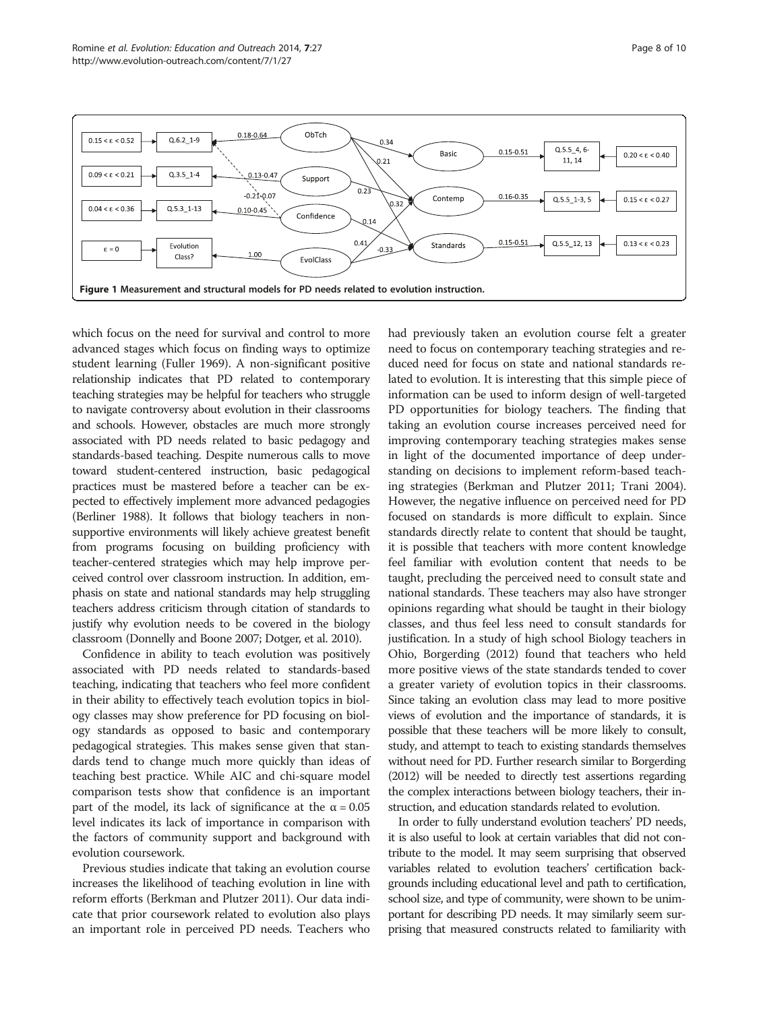<span id="page-7-0"></span>

which focus on the need for survival and control to more advanced stages which focus on finding ways to optimize student learning (Fuller [1969](#page-9-0)). A non-significant positive relationship indicates that PD related to contemporary teaching strategies may be helpful for teachers who struggle to navigate controversy about evolution in their classrooms and schools. However, obstacles are much more strongly associated with PD needs related to basic pedagogy and standards-based teaching. Despite numerous calls to move toward student-centered instruction, basic pedagogical practices must be mastered before a teacher can be expected to effectively implement more advanced pedagogies (Berliner [1988\)](#page-9-0). It follows that biology teachers in nonsupportive environments will likely achieve greatest benefit from programs focusing on building proficiency with teacher-centered strategies which may help improve perceived control over classroom instruction. In addition, emphasis on state and national standards may help struggling teachers address criticism through citation of standards to justify why evolution needs to be covered in the biology classroom (Donnelly and Boone [2007](#page-9-0); Dotger, et al. [2010\)](#page-9-0).

Confidence in ability to teach evolution was positively associated with PD needs related to standards-based teaching, indicating that teachers who feel more confident in their ability to effectively teach evolution topics in biology classes may show preference for PD focusing on biology standards as opposed to basic and contemporary pedagogical strategies. This makes sense given that standards tend to change much more quickly than ideas of teaching best practice. While AIC and chi-square model comparison tests show that confidence is an important part of the model, its lack of significance at the  $\alpha = 0.05$ level indicates its lack of importance in comparison with the factors of community support and background with evolution coursework.

Previous studies indicate that taking an evolution course increases the likelihood of teaching evolution in line with reform efforts (Berkman and Plutzer [2011\)](#page-9-0). Our data indicate that prior coursework related to evolution also plays an important role in perceived PD needs. Teachers who had previously taken an evolution course felt a greater need to focus on contemporary teaching strategies and reduced need for focus on state and national standards related to evolution. It is interesting that this simple piece of information can be used to inform design of well-targeted PD opportunities for biology teachers. The finding that taking an evolution course increases perceived need for improving contemporary teaching strategies makes sense in light of the documented importance of deep understanding on decisions to implement reform-based teaching strategies (Berkman and Plutzer [2011](#page-9-0); Trani [2004](#page-9-0)). However, the negative influence on perceived need for PD focused on standards is more difficult to explain. Since standards directly relate to content that should be taught, it is possible that teachers with more content knowledge feel familiar with evolution content that needs to be taught, precluding the perceived need to consult state and national standards. These teachers may also have stronger opinions regarding what should be taught in their biology classes, and thus feel less need to consult standards for justification. In a study of high school Biology teachers in Ohio, Borgerding ([2012\)](#page-9-0) found that teachers who held more positive views of the state standards tended to cover a greater variety of evolution topics in their classrooms. Since taking an evolution class may lead to more positive views of evolution and the importance of standards, it is possible that these teachers will be more likely to consult, study, and attempt to teach to existing standards themselves without need for PD. Further research similar to Borgerding ([2012](#page-9-0)) will be needed to directly test assertions regarding the complex interactions between biology teachers, their instruction, and education standards related to evolution.

In order to fully understand evolution teachers' PD needs, it is also useful to look at certain variables that did not contribute to the model. It may seem surprising that observed variables related to evolution teachers' certification backgrounds including educational level and path to certification, school size, and type of community, were shown to be unimportant for describing PD needs. It may similarly seem surprising that measured constructs related to familiarity with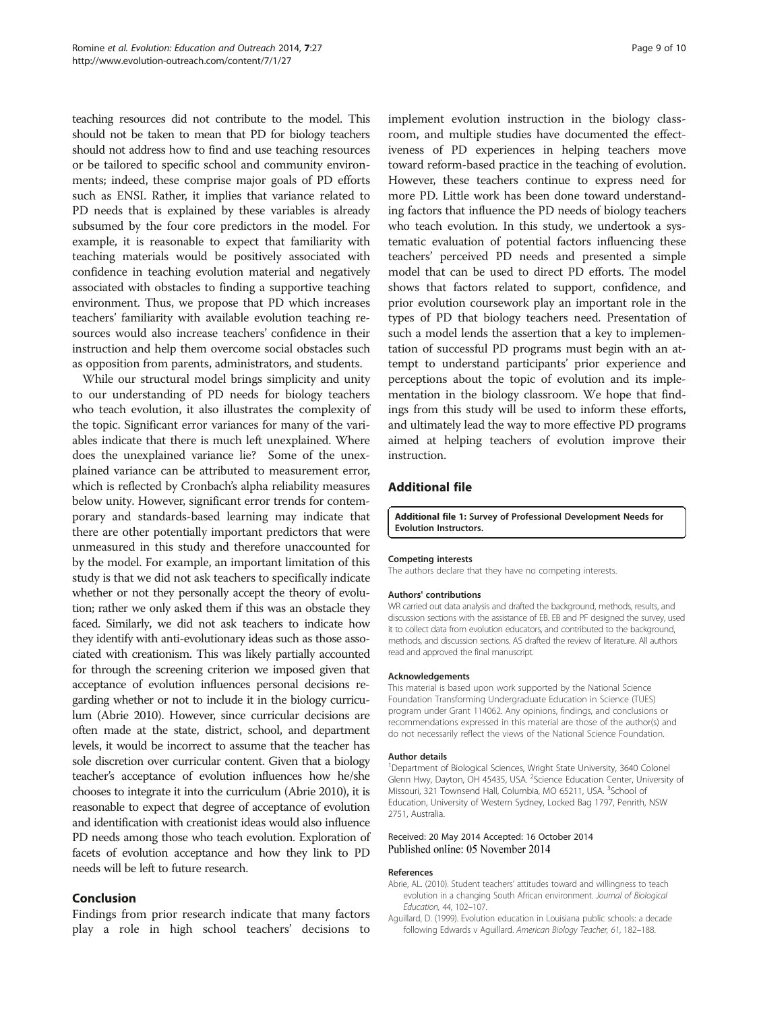<span id="page-8-0"></span>teaching resources did not contribute to the model. This should not be taken to mean that PD for biology teachers should not address how to find and use teaching resources or be tailored to specific school and community environments; indeed, these comprise major goals of PD efforts such as ENSI. Rather, it implies that variance related to PD needs that is explained by these variables is already subsumed by the four core predictors in the model. For example, it is reasonable to expect that familiarity with teaching materials would be positively associated with confidence in teaching evolution material and negatively associated with obstacles to finding a supportive teaching environment. Thus, we propose that PD which increases teachers' familiarity with available evolution teaching resources would also increase teachers' confidence in their instruction and help them overcome social obstacles such as opposition from parents, administrators, and students.

While our structural model brings simplicity and unity to our understanding of PD needs for biology teachers who teach evolution, it also illustrates the complexity of the topic. Significant error variances for many of the variables indicate that there is much left unexplained. Where does the unexplained variance lie? Some of the unexplained variance can be attributed to measurement error, which is reflected by Cronbach's alpha reliability measures below unity. However, significant error trends for contemporary and standards-based learning may indicate that there are other potentially important predictors that were unmeasured in this study and therefore unaccounted for by the model. For example, an important limitation of this study is that we did not ask teachers to specifically indicate whether or not they personally accept the theory of evolution; rather we only asked them if this was an obstacle they faced. Similarly, we did not ask teachers to indicate how they identify with anti-evolutionary ideas such as those associated with creationism. This was likely partially accounted for through the screening criterion we imposed given that acceptance of evolution influences personal decisions regarding whether or not to include it in the biology curriculum (Abrie 2010). However, since curricular decisions are often made at the state, district, school, and department levels, it would be incorrect to assume that the teacher has sole discretion over curricular content. Given that a biology teacher's acceptance of evolution influences how he/she chooses to integrate it into the curriculum (Abrie 2010), it is reasonable to expect that degree of acceptance of evolution and identification with creationist ideas would also influence PD needs among those who teach evolution. Exploration of facets of evolution acceptance and how they link to PD needs will be left to future research.

### Conclusion

Findings from prior research indicate that many factors play a role in high school teachers' decisions to implement evolution instruction in the biology classroom, and multiple studies have documented the effectiveness of PD experiences in helping teachers move toward reform-based practice in the teaching of evolution. However, these teachers continue to express need for more PD. Little work has been done toward understanding factors that influence the PD needs of biology teachers who teach evolution. In this study, we undertook a systematic evaluation of potential factors influencing these teachers' perceived PD needs and presented a simple model that can be used to direct PD efforts. The model shows that factors related to support, confidence, and prior evolution coursework play an important role in the types of PD that biology teachers need. Presentation of such a model lends the assertion that a key to implementation of successful PD programs must begin with an attempt to understand participants' prior experience and perceptions about the topic of evolution and its implementation in the biology classroom. We hope that findings from this study will be used to inform these efforts, and ultimately lead the way to more effective PD programs aimed at helping teachers of evolution improve their instruction.

#### Additional file

[Additional file 1:](http://www.evolution-outreach.com/content/supplementary/s12052-014-0027-y-s1.docx) Survey of Professional Development Needs for Evolution Instructors.

#### Competing interests

The authors declare that they have no competing interests.

#### Authors' contributions

WR carried out data analysis and drafted the background, methods, results, and discussion sections with the assistance of EB. EB and PF designed the survey, used it to collect data from evolution educators, and contributed to the background, methods, and discussion sections. AS drafted the review of literature. All authors read and approved the final manuscript.

#### Acknowledgements

This material is based upon work supported by the National Science Foundation Transforming Undergraduate Education in Science (TUES) program under Grant 114062. Any opinions, findings, and conclusions or recommendations expressed in this material are those of the author(s) and do not necessarily reflect the views of the National Science Foundation.

#### Author details

<sup>1</sup>Department of Biological Sciences, Wright State University, 3640 Colonel Glenn Hwy, Dayton, OH 45435, USA. <sup>2</sup>Science Education Center, University of Missouri, 321 Townsend Hall, Columbia, MO 65211, USA. <sup>3</sup>School of Education, University of Western Sydney, Locked Bag 1797, Penrith, NSW 2751, Australia.

#### Received: 20 May 2014 Accepted: 16 October 2014 Published online: 05 November 2014

#### References

- Abrie, AL. (2010). Student teachers' attitudes toward and willingness to teach evolution in a changing South African environment. Journal of Biological Education, 44, 102–107.
- Aguillard, D. (1999). Evolution education in Louisiana public schools: a decade following Edwards v Aguillard. American Biology Teacher, 61, 182–188.